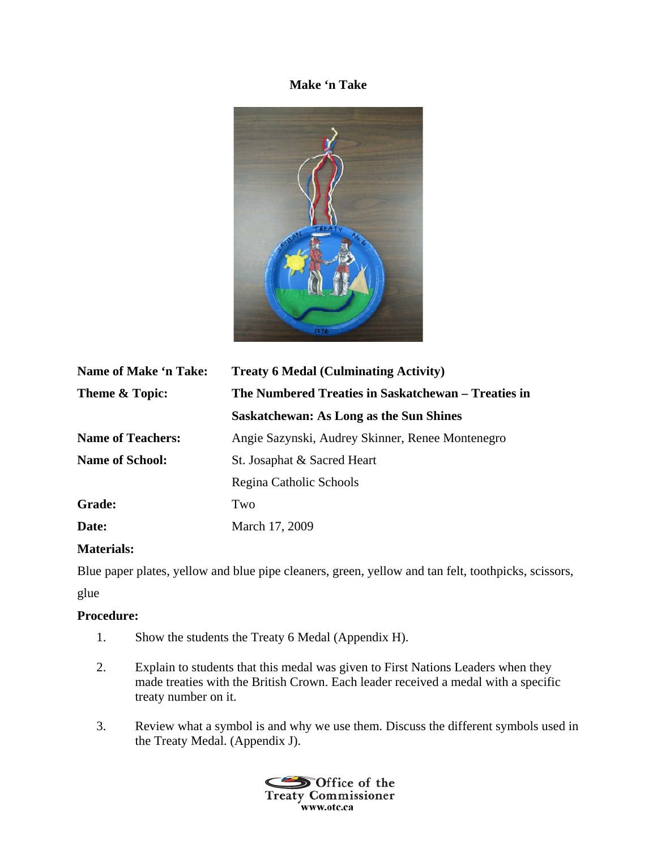## **Make 'n Take**



| <b>Name of Make 'n Take:</b> | <b>Treaty 6 Medal (Culminating Activity)</b>        |
|------------------------------|-----------------------------------------------------|
| Theme & Topic:               | The Numbered Treaties in Saskatchewan – Treaties in |
|                              | <b>Saskatchewan: As Long as the Sun Shines</b>      |
| <b>Name of Teachers:</b>     | Angie Sazynski, Audrey Skinner, Renee Montenegro    |
| <b>Name of School:</b>       | St. Josaphat & Sacred Heart                         |
|                              | Regina Catholic Schools                             |
| <b>Grade:</b>                | Two                                                 |
| Date:                        | March 17, 2009                                      |

## **Materials:**

Blue paper plates, yellow and blue pipe cleaners, green, yellow and tan felt, toothpicks, scissors, glue

## **Procedure:**

- 1. Show the students the Treaty 6 Medal (Appendix H).
- 2. Explain to students that this medal was given to First Nations Leaders when they made treaties with the British Crown. Each leader received a medal with a specific treaty number on it.
- 3. Review what a symbol is and why we use them. Discuss the different symbols used in the Treaty Medal. (Appendix J).